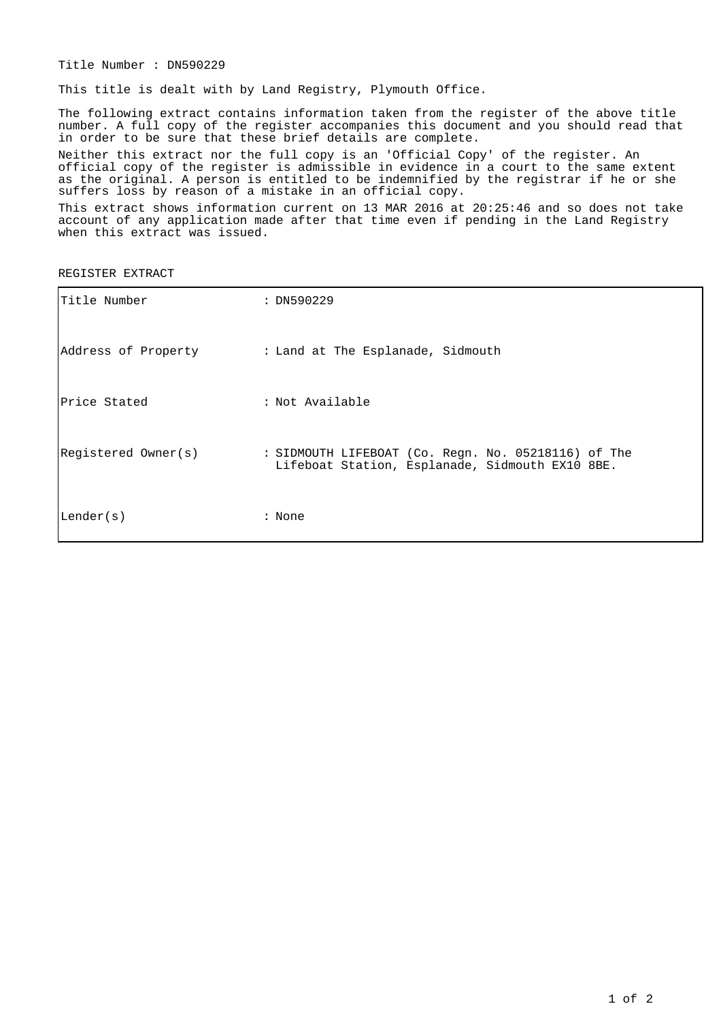Title Number : DN590229

This title is dealt with by Land Registry, Plymouth Office.

The following extract contains information taken from the register of the above title number. A full copy of the register accompanies this document and you should read that in order to be sure that these brief details are complete.

Neither this extract nor the full copy is an 'Official Copy' of the register. An official copy of the register is admissible in evidence in a court to the same extent as the original. A person is entitled to be indemnified by the registrar if he or she suffers loss by reason of a mistake in an official copy.

This extract shows information current on 13 MAR 2016 at 20:25:46 and so does not take account of any application made after that time even if pending in the Land Registry when this extract was issued.

REGISTER EXTRACT

| Title Number        | : DN590229                                                                                             |
|---------------------|--------------------------------------------------------------------------------------------------------|
|                     | Address of Property . I Land at The Esplanade, Sidmouth                                                |
| Price Stated        | : Not Available                                                                                        |
| Registered Owner(s) | : SIDMOUTH LIFEBOAT (Co. Regn. No. 05218116) of The<br>Lifeboat Station, Esplanade, Sidmouth EX10 8BE. |
| Lender(s)           | : None                                                                                                 |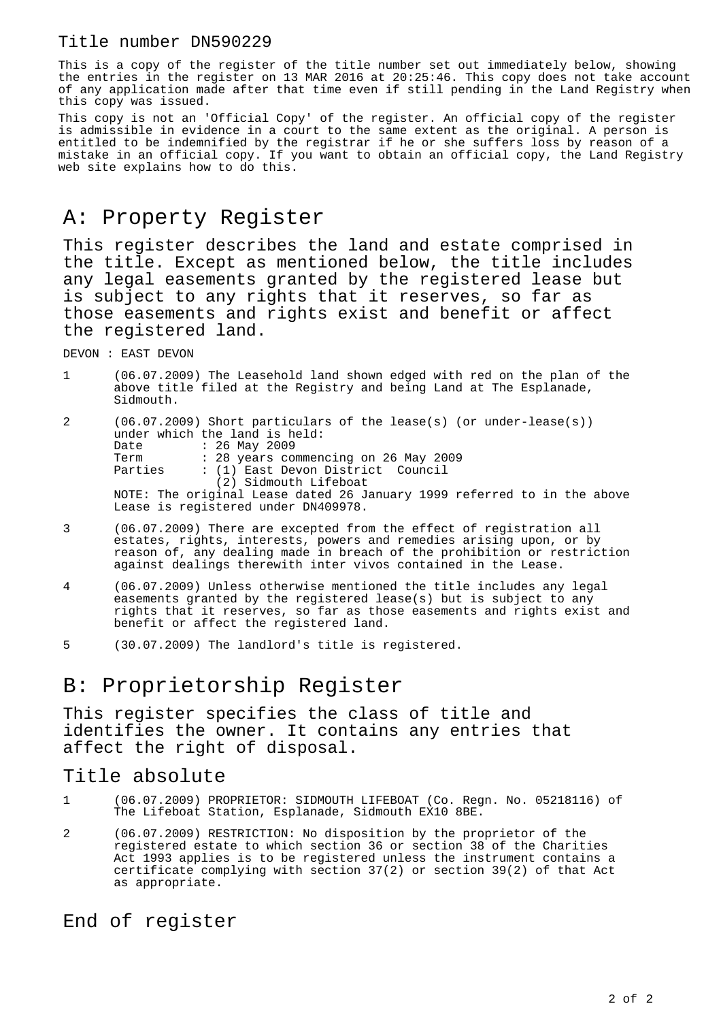#### Title number DN590229

This is a copy of the register of the title number set out immediately below, showing the entries in the register on 13 MAR 2016 at 20:25:46. This copy does not take account of any application made after that time even if still pending in the Land Registry when this copy was issued.

This copy is not an 'Official Copy' of the register. An official copy of the register is admissible in evidence in a court to the same extent as the original. A person is entitled to be indemnified by the registrar if he or she suffers loss by reason of a mistake in an official copy. If you want to obtain an official copy, the Land Registry web site explains how to do this.

## A: Property Register

This register describes the land and estate comprised in the title. Except as mentioned below, the title includes any legal easements granted by the registered lease but is subject to any rights that it reserves, so far as those easements and rights exist and benefit or affect the registered land.

DEVON : EAST DEVON

|                                                                                 |  |  | (06.07.2009) The Leasehold land shown edged with red on the plan of the |  |  |  |  |  |
|---------------------------------------------------------------------------------|--|--|-------------------------------------------------------------------------|--|--|--|--|--|
| above title filed at the Registry and being Land at The Esplanade,<br>Sidmouth. |  |  |                                                                         |  |  |  |  |  |

2 (06.07.2009) Short particulars of the lease(s) (or under-lease(s)) under which the land is held: Date : 26 May 2009 Term : 28 years commencing on 26 May 2009<br>Parties : (1) East Devon District Council : (1) East Devon District Council (2) Sidmouth Lifeboat NOTE: The original Lease dated 26 January 1999 referred to in the above Lease is registered under DN409978.

- 3 (06.07.2009) There are excepted from the effect of registration all estates, rights, interests, powers and remedies arising upon, or by reason of, any dealing made in breach of the prohibition or restriction against dealings therewith inter vivos contained in the Lease.
- 4 (06.07.2009) Unless otherwise mentioned the title includes any legal easements granted by the registered lease(s) but is subject to any rights that it reserves, so far as those easements and rights exist and benefit or affect the registered land.
- 5 (30.07.2009) The landlord's title is registered.

## B: Proprietorship Register

This register specifies the class of title and identifies the owner. It contains any entries that affect the right of disposal.

### Title absolute

- 1 (06.07.2009) PROPRIETOR: SIDMOUTH LIFEBOAT (Co. Regn. No. 05218116) of The Lifeboat Station, Esplanade, Sidmouth EX10 8BE.
- 2 (06.07.2009) RESTRICTION: No disposition by the proprietor of the registered estate to which section 36 or section 38 of the Charities Act 1993 applies is to be registered unless the instrument contains a certificate complying with section 37(2) or section 39(2) of that Act as appropriate.

End of register